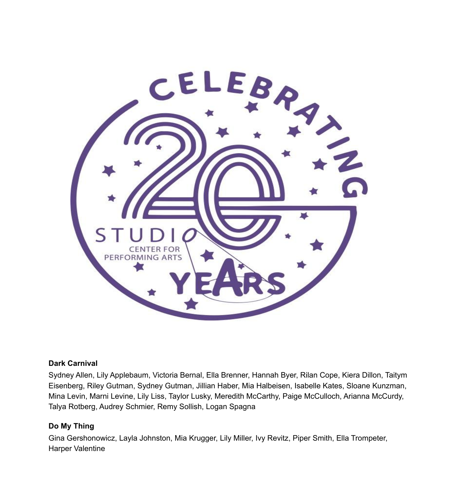

#### **Dark Carnival**

Sydney Allen, Lily Applebaum, Victoria Bernal, Ella Brenner, Hannah Byer, Rilan Cope, Kiera Dillon, Taitym Eisenberg, Riley Gutman, Sydney Gutman, Jillian Haber, Mia Halbeisen, Isabelle Kates, Sloane Kunzman, Mina Levin, Marni Levine, Lily Liss, Taylor Lusky, Meredith McCarthy, Paige McCulloch, Arianna McCurdy, Talya Rotberg, Audrey Schmier, Remy Sollish, Logan Spagna

# **Do My Thing**

Gina Gershonowicz, Layla Johnston, Mia Krugger, Lily Miller, Ivy Revitz, Piper Smith, Ella Trompeter, Harper Valentine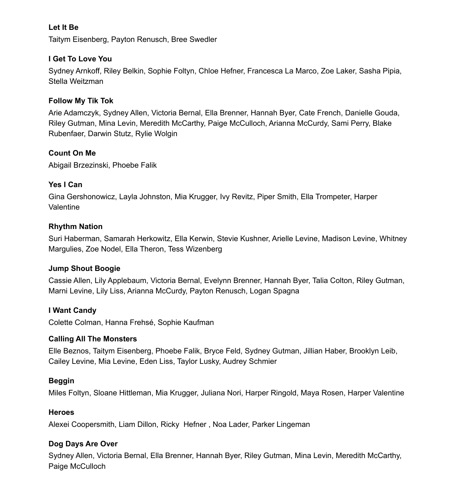# **Let It Be**

Taitym Eisenberg, Payton Renusch, Bree Swedler

## **I Get To Love You**

Sydney Arnkoff, Riley Belkin, Sophie Foltyn, Chloe Hefner, Francesca La Marco, Zoe Laker, Sasha Pipia, Stella Weitzman

## **Follow My Tik Tok**

Arie Adamczyk, Sydney Allen, Victoria Bernal, Ella Brenner, Hannah Byer, Cate French, Danielle Gouda, Riley Gutman, Mina Levin, Meredith McCarthy, Paige McCulloch, Arianna McCurdy, Sami Perry, Blake Rubenfaer, Darwin Stutz, Rylie Wolgin

## **Count On Me**

Abigail Brzezinski, Phoebe Falik

## **Yes I Can**

Gina Gershonowicz, Layla Johnston, Mia Krugger, Ivy Revitz, Piper Smith, Ella Trompeter, Harper **Valentine** 

## **Rhythm Nation**

Suri Haberman, Samarah Herkowitz, Ella Kerwin, Stevie Kushner, Arielle Levine, Madison Levine, Whitney Margulies, Zoe Nodel, Ella Theron, Tess Wizenberg

#### **Jump Shout Boogie**

Cassie Allen, Lily Applebaum, Victoria Bernal, Evelynn Brenner, Hannah Byer, Talia Colton, Riley Gutman, Marni Levine, Lily Liss, Arianna McCurdy, Payton Renusch, Logan Spagna

#### **I Want Candy**

Colette Colman, Hanna Frehsé, Sophie Kaufman

#### **Calling All The Monsters**

Elle Beznos, Taitym Eisenberg, Phoebe Falik, Bryce Feld, Sydney Gutman, Jillian Haber, Brooklyn Leib, Cailey Levine, Mia Levine, Eden Liss, Taylor Lusky, Audrey Schmier

#### **Beggin**

Miles Foltyn, Sloane Hittleman, Mia Krugger, Juliana Nori, Harper Ringold, Maya Rosen, Harper Valentine

#### **Heroes**

Alexei Coopersmith, Liam Dillon, Ricky Hefner , Noa Lader, Parker Lingeman

#### **Dog Days Are Over**

Sydney Allen, Victoria Bernal, Ella Brenner, Hannah Byer, Riley Gutman, Mina Levin, Meredith McCarthy, Paige McCulloch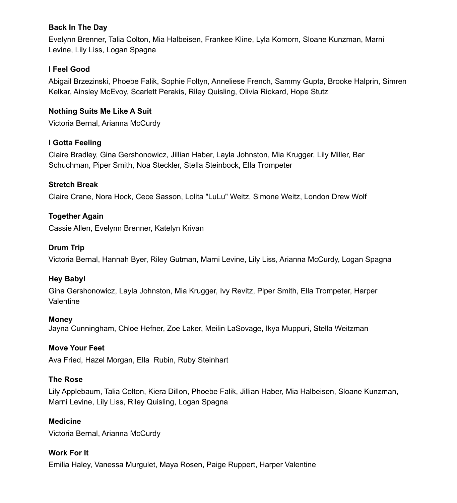## **Back In The Day**

Evelynn Brenner, Talia Colton, Mia Halbeisen, Frankee Kline, Lyla Komorn, Sloane Kunzman, Marni Levine, Lily Liss, Logan Spagna

# **I Feel Good**

Abigail Brzezinski, Phoebe Falik, Sophie Foltyn, Anneliese French, Sammy Gupta, Brooke Halprin, Simren Kelkar, Ainsley McEvoy, Scarlett Perakis, Riley Quisling, Olivia Rickard, Hope Stutz

# **Nothing Suits Me Like A Suit**

Victoria Bernal, Arianna McCurdy

# **I Gotta Feeling**

Claire Bradley, Gina Gershonowicz, Jillian Haber, Layla Johnston, Mia Krugger, Lily Miller, Bar Schuchman, Piper Smith, Noa Steckler, Stella Steinbock, Ella Trompeter

## **Stretch Break**

Claire Crane, Nora Hock, Cece Sasson, Lolita "LuLu" Weitz, Simone Weitz, London Drew Wolf

## **Together Again**

Cassie Allen, Evelynn Brenner, Katelyn Krivan

# **Drum Trip**

Victoria Bernal, Hannah Byer, Riley Gutman, Marni Levine, Lily Liss, Arianna McCurdy, Logan Spagna

#### **Hey Baby!**

Gina Gershonowicz, Layla Johnston, Mia Krugger, Ivy Revitz, Piper Smith, Ella Trompeter, Harper Valentine

#### **Money**

Jayna Cunningham, Chloe Hefner, Zoe Laker, Meilin LaSovage, Ikya Muppuri, Stella Weitzman

#### **Move Your Feet**

Ava Fried, Hazel Morgan, Ella Rubin, Ruby Steinhart

#### **The Rose**

Lily Applebaum, Talia Colton, Kiera Dillon, Phoebe Falik, Jillian Haber, Mia Halbeisen, Sloane Kunzman, Marni Levine, Lily Liss, Riley Quisling, Logan Spagna

#### **Medicine**

Victoria Bernal, Arianna McCurdy

#### **Work For It**

Emilia Haley, Vanessa Murgulet, Maya Rosen, Paige Ruppert, Harper Valentine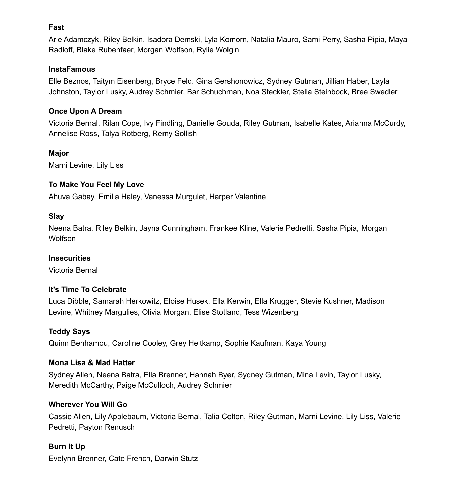#### **Fast**

Arie Adamczyk, Riley Belkin, Isadora Demski, Lyla Komorn, Natalia Mauro, Sami Perry, Sasha Pipia, Maya Radloff, Blake Rubenfaer, Morgan Wolfson, Rylie Wolgin

# **InstaFamous**

Elle Beznos, Taitym Eisenberg, Bryce Feld, Gina Gershonowicz, Sydney Gutman, Jillian Haber, Layla Johnston, Taylor Lusky, Audrey Schmier, Bar Schuchman, Noa Steckler, Stella Steinbock, Bree Swedler

# **Once Upon A Dream**

Victoria Bernal, Rilan Cope, Ivy Findling, Danielle Gouda, Riley Gutman, Isabelle Kates, Arianna McCurdy, Annelise Ross, Talya Rotberg, Remy Sollish

# **Major**

Marni Levine, Lily Liss

## **To Make You Feel My Love**

Ahuva Gabay, Emilia Haley, Vanessa Murgulet, Harper Valentine

## **Slay**

Neena Batra, Riley Belkin, Jayna Cunningham, Frankee Kline, Valerie Pedretti, Sasha Pipia, Morgan **Wolfson** 

#### **Insecurities**

Victoria Bernal

# **It's Time To Celebrate**

Luca Dibble, Samarah Herkowitz, Eloise Husek, Ella Kerwin, Ella Krugger, Stevie Kushner, Madison Levine, Whitney Margulies, Olivia Morgan, Elise Stotland, Tess Wizenberg

# **Teddy Says**

Quinn Benhamou, Caroline Cooley, Grey Heitkamp, Sophie Kaufman, Kaya Young

#### **Mona Lisa & Mad Hatter**

Sydney Allen, Neena Batra, Ella Brenner, Hannah Byer, Sydney Gutman, Mina Levin, Taylor Lusky, Meredith McCarthy, Paige McCulloch, Audrey Schmier

# **Wherever You Will Go**

Cassie Allen, Lily Applebaum, Victoria Bernal, Talia Colton, Riley Gutman, Marni Levine, Lily Liss, Valerie Pedretti, Payton Renusch

# **Burn It Up**

Evelynn Brenner, Cate French, Darwin Stutz